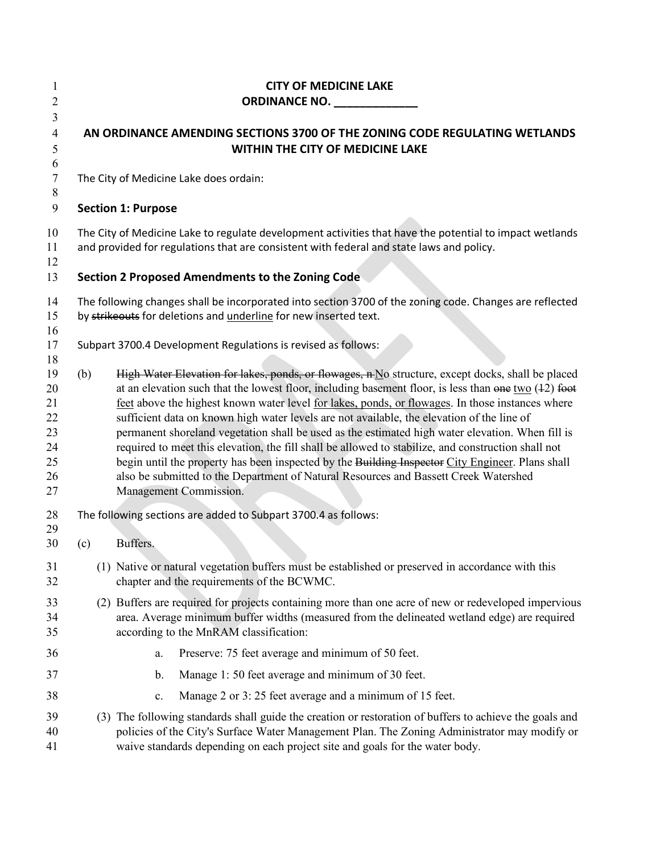| 1<br>$\overline{2}$                                | <b>CITY OF MEDICINE LAKE</b><br><b>ORDINANCE NO. ORDINANCE NO.</b><br>AN ORDINANCE AMENDING SECTIONS 3700 OF THE ZONING CODE REGULATING WETLANDS<br>WITHIN THE CITY OF MEDICINE LAKE                                                                                                                                                                                                                                                                                                                                                                                                                                                                                                                                                                                                                                                                         |  |  |
|----------------------------------------------------|--------------------------------------------------------------------------------------------------------------------------------------------------------------------------------------------------------------------------------------------------------------------------------------------------------------------------------------------------------------------------------------------------------------------------------------------------------------------------------------------------------------------------------------------------------------------------------------------------------------------------------------------------------------------------------------------------------------------------------------------------------------------------------------------------------------------------------------------------------------|--|--|
| 3<br>$\overline{4}$<br>5<br>6                      |                                                                                                                                                                                                                                                                                                                                                                                                                                                                                                                                                                                                                                                                                                                                                                                                                                                              |  |  |
| 7<br>8                                             | The City of Medicine Lake does ordain:                                                                                                                                                                                                                                                                                                                                                                                                                                                                                                                                                                                                                                                                                                                                                                                                                       |  |  |
| 9                                                  | <b>Section 1: Purpose</b>                                                                                                                                                                                                                                                                                                                                                                                                                                                                                                                                                                                                                                                                                                                                                                                                                                    |  |  |
| 10<br>11<br>12                                     | The City of Medicine Lake to regulate development activities that have the potential to impact wetlands<br>and provided for regulations that are consistent with federal and state laws and policy.                                                                                                                                                                                                                                                                                                                                                                                                                                                                                                                                                                                                                                                          |  |  |
| 13                                                 | <b>Section 2 Proposed Amendments to the Zoning Code</b>                                                                                                                                                                                                                                                                                                                                                                                                                                                                                                                                                                                                                                                                                                                                                                                                      |  |  |
| 14<br>15<br>16                                     | The following changes shall be incorporated into section 3700 of the zoning code. Changes are reflected<br>by strikeouts for deletions and underline for new inserted text.                                                                                                                                                                                                                                                                                                                                                                                                                                                                                                                                                                                                                                                                                  |  |  |
| 17<br>18                                           | Subpart 3700.4 Development Regulations is revised as follows:                                                                                                                                                                                                                                                                                                                                                                                                                                                                                                                                                                                                                                                                                                                                                                                                |  |  |
| 19<br>20<br>21<br>22<br>23<br>24<br>25<br>26<br>27 | High Water Elevation for lakes, ponds, or flowages, n No structure, except docks, shall be placed<br>(b)<br>at an elevation such that the lowest floor, including basement floor, is less than $\theta$ one two (42) foot<br>feet above the highest known water level for lakes, ponds, or flowages. In those instances where<br>sufficient data on known high water levels are not available, the elevation of the line of<br>permanent shoreland vegetation shall be used as the estimated high water elevation. When fill is<br>required to meet this elevation, the fill shall be allowed to stabilize, and construction shall not<br>begin until the property has been inspected by the Building Inspector City Engineer. Plans shall<br>also be submitted to the Department of Natural Resources and Bassett Creek Watershed<br>Management Commission. |  |  |
| 28                                                 | The following sections are added to Subpart 3700.4 as follows:                                                                                                                                                                                                                                                                                                                                                                                                                                                                                                                                                                                                                                                                                                                                                                                               |  |  |
| 29<br>30                                           | Buffers.<br>(c)                                                                                                                                                                                                                                                                                                                                                                                                                                                                                                                                                                                                                                                                                                                                                                                                                                              |  |  |
| 31<br>32                                           | (1) Native or natural vegetation buffers must be established or preserved in accordance with this<br>chapter and the requirements of the BCWMC.                                                                                                                                                                                                                                                                                                                                                                                                                                                                                                                                                                                                                                                                                                              |  |  |
| 33<br>34<br>35                                     | (2) Buffers are required for projects containing more than one acre of new or redeveloped impervious<br>area. Average minimum buffer widths (measured from the delineated wetland edge) are required<br>according to the MnRAM classification:                                                                                                                                                                                                                                                                                                                                                                                                                                                                                                                                                                                                               |  |  |
| 36                                                 | Preserve: 75 feet average and minimum of 50 feet.<br>a.                                                                                                                                                                                                                                                                                                                                                                                                                                                                                                                                                                                                                                                                                                                                                                                                      |  |  |
| 37                                                 | Manage 1: 50 feet average and minimum of 30 feet.<br>b.                                                                                                                                                                                                                                                                                                                                                                                                                                                                                                                                                                                                                                                                                                                                                                                                      |  |  |
| 38                                                 | Manage 2 or 3:25 feet average and a minimum of 15 feet.<br>c.                                                                                                                                                                                                                                                                                                                                                                                                                                                                                                                                                                                                                                                                                                                                                                                                |  |  |
| 39<br>40<br>41                                     | (3) The following standards shall guide the creation or restoration of buffers to achieve the goals and<br>policies of the City's Surface Water Management Plan. The Zoning Administrator may modify or<br>waive standards depending on each project site and goals for the water body.                                                                                                                                                                                                                                                                                                                                                                                                                                                                                                                                                                      |  |  |